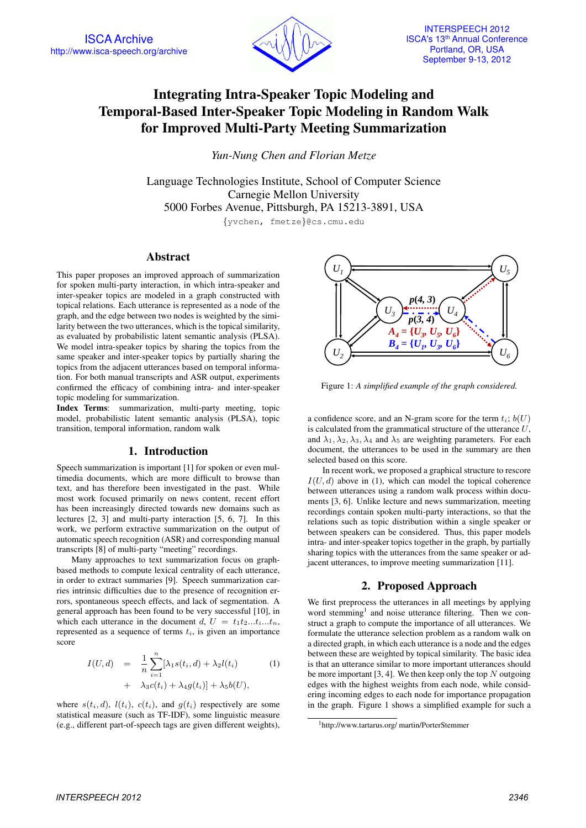

# Integrating Intra-Speaker Topic Modeling and Temporal-Based Inter-Speaker Topic Modeling in Random Walk for Improved Multi-Party Meeting Summarization

*Yun-Nung Chen and Florian Metze*

Language Technologies Institute, School of Computer Science Carnegie Mellon University 5000 Forbes Avenue, Pittsburgh, PA 15213-3891, USA

{yvchen, fmetze}@cs.cmu.edu

# **Abstract**

This paper proposes an improved approach of summarization for spoken multi-party interaction, in which intra-speaker and inter-speaker topics are modeled in a graph constructed with topical relations. Each utterance is represented as a node of the graph, and the edge between two nodes is weighted by the similarity between the two utterances, which is the topical similarity, as evaluated by probabilistic latent semantic analysis (PLSA). We model intra-speaker topics by sharing the topics from the same speaker and inter-speaker topics by partially sharing the topics from the adjacent utterances based on temporal information. For both manual transcripts and ASR output, experiments confirmed the efficacy of combining intra- and inter-speaker topic modeling for summarization.

Index Terms: summarization, multi-party meeting, topic model, probabilistic latent semantic analysis (PLSA), topic transition, temporal information, random walk

# 1. Introduction

Speech summarization is important [1] for spoken or even multimedia documents, which are more difficult to browse than text, and has therefore been investigated in the past. While most work focused primarily on news content, recent effort has been increasingly directed towards new domains such as lectures [2, 3] and multi-party interaction [5, 6, 7]. In this work, we perform extractive summarization on the output of automatic speech recognition (ASR) and corresponding manual transcripts [8] of multi-party "meeting" recordings.

Many approaches to text summarization focus on graphbased methods to compute lexical centrality of each utterance, in order to extract summaries [9]. Speech summarization carries intrinsic difficulties due to the presence of recognition errors, spontaneous speech effects, and lack of segmentation. A general approach has been found to be very successful [10], in which each utterance in the document d,  $U = t_1t_2...t_i...t_n$ , represented as a sequence of terms  $t_i$ , is given an importance score

$$
I(U,d) = \frac{1}{n} \sum_{i=1}^{n} [\lambda_1 s(t_i, d) + \lambda_2 l(t_i)
$$
  
+ 
$$
\lambda_3 c(t_i) + \lambda_4 g(t_i)] + \lambda_5 b(U),
$$
 (1)

where  $s(t_i, d)$ ,  $l(t_i)$ ,  $c(t_i)$ , and  $g(t_i)$  respectively are some statistical measure (such as TF-IDF), some linguistic measure (e.g., different part-of-speech tags are given different weights),



Figure 1: *A simplified example of the graph considered.*

a confidence score, and an N-gram score for the term  $t_i$ ;  $b(U)$ is calculated from the grammatical structure of the utterance  $U$ , and  $\lambda_1, \lambda_2, \lambda_3, \lambda_4$  and  $\lambda_5$  are weighting parameters. For each document, the utterances to be used in the summary are then selected based on this score.

In recent work, we proposed a graphical structure to rescore  $I(U, d)$  above in (1), which can model the topical coherence between utterances using a random walk process within documents [3, 6]. Unlike lecture and news summarization, meeting recordings contain spoken multi-party interactions, so that the relations such as topic distribution within a single speaker or between speakers can be considered. Thus, this paper models intra- and inter-speaker topics together in the graph, by partially sharing topics with the utterances from the same speaker or adjacent utterances, to improve meeting summarization [11].

# 2. Proposed Approach

We first preprocess the utterances in all meetings by applying word stemming<sup>1</sup> and noise utterance filtering. Then we construct a graph to compute the importance of all utterances. We formulate the utterance selection problem as a random walk on a directed graph, in which each utterance is a node and the edges between these are weighted by topical similarity. The basic idea is that an utterance similar to more important utterances should be more important [3, 4]. We then keep only the top  $N$  outgoing edges with the highest weights from each node, while considering incoming edges to each node for importance propagation in the graph. Figure 1 shows a simplified example for such a

<sup>1</sup>http://www.tartarus.org/ martin/PorterStemmer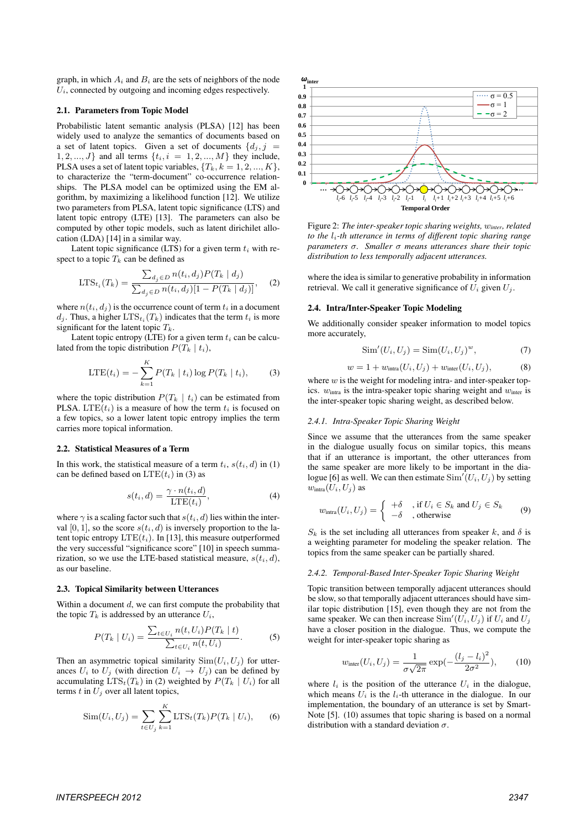graph, in which  $A_i$  and  $B_i$  are the sets of neighbors of the node  $U_i$ , connected by outgoing and incoming edges respectively.

#### 2.1. Parameters from Topic Model

Probabilistic latent semantic analysis (PLSA) [12] has been widely used to analyze the semantics of documents based on a set of latent topics. Given a set of documents  $\{d_i, j\}$  $1, 2, ..., J$  and all terms  $\{t_i, i = 1, 2, ..., M\}$  they include, PLSA uses a set of latent topic variables,  $\{T_k, k = 1, 2, ..., K\}$ , to characterize the "term-document" co-occurrence relationships. The PLSA model can be optimized using the EM algorithm, by maximizing a likelihood function [12]. We utilize two parameters from PLSA, latent topic significance (LTS) and latent topic entropy (LTE) [13]. The parameters can also be computed by other topic models, such as latent dirichilet allocation (LDA) [14] in a similar way.

Latent topic significance (LTS) for a given term  $t_i$  with respect to a topic  $T_k$  can be defined as

$$
LTS_{t_i}(T_k) = \frac{\sum_{d_j \in D} n(t_i, d_j) P(T_k | d_j)}{\sum_{d_j \in D} n(t_i, d_j)[1 - P(T_k | d_j)]},
$$
 (2)

where  $n(t_i, d_i)$  is the occurrence count of term  $t_i$  in a document  $d_j$ . Thus, a higher  $\text{LTS}_{t_i}(T_k)$  indicates that the term  $t_i$  is more significant for the latent topic  $T_k$ .

Latent topic entropy (LTE) for a given term  $t_i$  can be calculated from the topic distribution  $P(T_k | t_i)$ ,

$$
LTE(t_i) = -\sum_{k=1}^{K} P(T_k | t_i) \log P(T_k | t_i),
$$
 (3)

where the topic distribution  $P(T_k | t_i)$  can be estimated from PLSA. LTE $(t_i)$  is a measure of how the term  $t_i$  is focused on a few topics, so a lower latent topic entropy implies the term carries more topical information.

#### 2.2. Statistical Measures of a Term

In this work, the statistical measure of a term  $t_i$ ,  $s(t_i, d)$  in (1) can be defined based on  $LTE(t_i)$  in (3) as

$$
s(t_i, d) = \frac{\gamma \cdot n(t_i, d)}{\text{LTE}(t_i)},\tag{4}
$$

where  $\gamma$  is a scaling factor such that  $s(t_i, d)$  lies within the interval [0, 1], so the score  $s(t_i, d)$  is inversely proportion to the latent topic entropy  $LTE(t_i)$ . In [13], this measure outperformed the very successful "significance score" [10] in speech summarization, so we use the LTE-based statistical measure,  $s(t_i, d)$ , as our baseline.

# 2.3. Topical Similarity between Utterances

Within a document  $d$ , we can first compute the probability that the topic  $T_k$  is addressed by an utterance  $U_i$ ,

$$
P(T_k | U_i) = \frac{\sum_{t \in U_i} n(t, U_i) P(T_k | t)}{\sum_{t \in U_i} n(t, U_i)}.
$$
 (5)

Then an asymmetric topical similarity  $Sim(U_i, U_j)$  for utterances  $U_i$  to  $U_j$  (with direction  $U_i \rightarrow U_j$ ) can be defined by accumulating  $LTS_t(T_k)$  in (2) weighted by  $P(T_k | U_i)$  for all terms  $t$  in  $U_j$  over all latent topics,

$$
Sim(U_i, U_j) = \sum_{t \in U_j} \sum_{k=1}^{K} \text{LTS}_t(T_k) P(T_k | U_i), \quad (6)
$$



Figure 2: *The inter-speaker topic sharing weights,* w*inter, related to the*  $l_i$ -th utterance in terms of different topic sharing range *parameters* σ*. Smaller* σ *means utterances share their topic distribution to less temporally adjacent utterances.*

where the idea is similar to generative probability in information retrieval. We call it generative significance of  $U_i$  given  $U_i$ .

#### 2.4. Intra/Inter-Speaker Topic Modeling

We additionally consider speaker information to model topics more accurately,

$$
\text{Sim}'(U_i, U_j) = \text{Sim}(U_i, U_j)^w,\tag{7}
$$

$$
w = 1 + w_{\text{intra}}(U_i, U_j) + w_{\text{inter}}(U_i, U_j), \tag{8}
$$

where  $w$  is the weight for modeling intra- and inter-speaker topics.  $w<sub>intra</sub>$  is the intra-speaker topic sharing weight and  $w<sub>inter</sub>$  is the inter-speaker topic sharing weight, as described below.

#### *2.4.1. Intra-Speaker Topic Sharing Weight*

Since we assume that the utterances from the same speaker in the dialogue usually focus on similar topics, this means that if an utterance is important, the other utterances from the same speaker are more likely to be important in the dialogue [6] as well. We can then estimate  $Sim'(U_i, U_j)$  by setting  $w_{\text{intra}}(U_i, U_j)$  as

$$
w_{\text{intra}}(U_i, U_j) = \begin{cases} +\delta & \text{, if } U_i \in S_k \text{ and } U_j \in S_k \\ -\delta & \text{, otherwise} \end{cases}
$$
 (9)

 $S_k$  is the set including all utterances from speaker k, and  $\delta$  is a weighting parameter for modeling the speaker relation. The topics from the same speaker can be partially shared.

#### *2.4.2. Temporal-Based Inter-Speaker Topic Sharing Weight*

Topic transition between temporally adjacent utterances should be slow, so that temporally adjacent utterances should have similar topic distribution [15], even though they are not from the same speaker. We can then increase  $\text{Sim}'(U_i, U_j)$  if  $U_i$  and  $U_j$ have a closer position in the dialogue. Thus, we compute the weight for inter-speaker topic sharing as

$$
w_{\text{inter}}(U_i, U_j) = \frac{1}{\sigma \sqrt{2\pi}} \exp(-\frac{(l_j - l_i)^2}{2\sigma^2}), \quad (10)
$$

where  $l_i$  is the position of the utterance  $U_i$  in the dialogue, which means  $U_i$  is the  $l_i$ -th utterance in the dialogue. In our implementation, the boundary of an utterance is set by Smart-Note [5]. (10) assumes that topic sharing is based on a normal distribution with a standard deviation  $\sigma$ .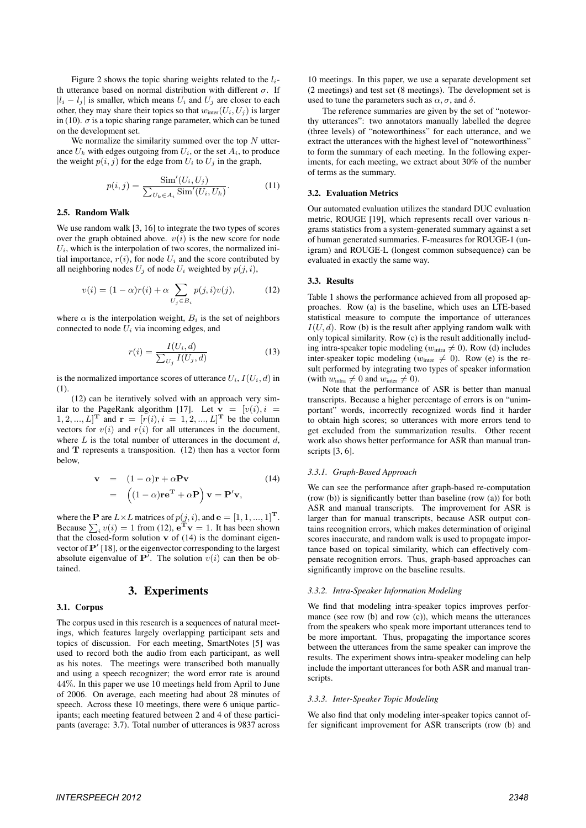Figure 2 shows the topic sharing weights related to the  $l_i$ th utterance based on normal distribution with different  $\sigma$ . If  $|l_i - l_j|$  is smaller, which means  $U_i$  and  $U_j$  are closer to each other, they may share their topics so that  $w_{\text{inter}}(U_i, U_j)$  is larger in (10).  $\sigma$  is a topic sharing range parameter, which can be tuned on the development set.

We normalize the similarity summed over the top  $N$  utterance  $U_k$  with edges outgoing from  $U_i$ , or the set  $A_i$ , to produce the weight  $p(i, j)$  for the edge from  $U_i$  to  $U_j$  in the graph,

$$
p(i,j) = \frac{\text{Sim}'(U_i, U_j)}{\sum_{U_k \in A_i} \text{Sim}'(U_i, U_k)}.
$$
 (11)

### 2.5. Random Walk

We use random walk [3, 16] to integrate the two types of scores over the graph obtained above.  $v(i)$  is the new score for node  $U_i$ , which is the interpolation of two scores, the normalized initial importance,  $r(i)$ , for node  $U_i$  and the score contributed by all neighboring nodes  $U_i$  of node  $U_i$  weighted by  $p(j, i)$ ,

$$
v(i) = (1 - \alpha)r(i) + \alpha \sum_{U_j \in B_i} p(j, i)v(j), \qquad (12)
$$

where  $\alpha$  is the interpolation weight,  $B_i$  is the set of neighbors connected to node  $U_i$  via incoming edges, and

$$
r(i) = \frac{I(U_i, d)}{\sum_{U_j} I(U_j, d)}\tag{13}
$$

is the normalized importance scores of utterance  $U_i$ ,  $I(U_i, d)$  in (1).

(12) can be iteratively solved with an approach very similar to the PageRank algorithm [17]. Let  $\mathbf{v} = [v(i), i]$  $[1, 2, ..., L]^T$  and  $\mathbf{r} = [r(i), i = 1, 2, ..., L]^T$  be the column vectors for  $v(i)$  and  $r(i)$  for all utterances in the document, where  $L$  is the total number of utterances in the document  $d$ , and  **represents a transposition. (12) then has a vector form** below,

$$
\mathbf{v} = (1 - \alpha)\mathbf{r} + \alpha \mathbf{P} \mathbf{v}
$$
(14)  
= 
$$
((1 - \alpha)\mathbf{r}\mathbf{e}^{\mathbf{T}} + \alpha \mathbf{P}) \mathbf{v} = \mathbf{P}' \mathbf{v},
$$

where the **P** are  $L \times L$  matrices of  $p(j, i)$ , and  $e = [1, 1, ..., 1]^T$ . Because  $\sum_i v(i) = 1$  from (12),  $e^{\mathbf{T}} \mathbf{v} = 1$ . It has been shown that the closed-form solution  $\bf{v}$  of (14) is the dominant eigenvector of  $\mathbf{P}'$  [18], or the eigenvector corresponding to the largest absolute eigenvalue of  $\mathbf{P}^{\mathcal{T}}$ . The solution  $v(i)$  can then be obtained.

# 3. Experiments

## 3.1. Corpus

The corpus used in this research is a sequences of natural meetings, which features largely overlapping participant sets and topics of discussion. For each meeting, SmartNotes [5] was used to record both the audio from each participant, as well as his notes. The meetings were transcribed both manually and using a speech recognizer; the word error rate is around 44%. In this paper we use 10 meetings held from April to June of 2006. On average, each meeting had about 28 minutes of speech. Across these 10 meetings, there were 6 unique participants; each meeting featured between 2 and 4 of these participants (average: 3.7). Total number of utterances is 9837 across

10 meetings. In this paper, we use a separate development set (2 meetings) and test set (8 meetings). The development set is used to tune the parameters such as  $\alpha$ ,  $\sigma$ , and  $\delta$ .

The reference summaries are given by the set of "noteworthy utterances": two annotators manually labelled the degree (three levels) of "noteworthiness" for each utterance, and we extract the utterances with the highest level of "noteworthiness" to form the summary of each meeting. In the following experiments, for each meeting, we extract about 30% of the number of terms as the summary.

### 3.2. Evaluation Metrics

Our automated evaluation utilizes the standard DUC evaluation metric, ROUGE [19], which represents recall over various ngrams statistics from a system-generated summary against a set of human generated summaries. F-measures for ROUGE-1 (unigram) and ROUGE-L (longest common subsequence) can be evaluated in exactly the same way.

#### 3.3. Results

Table 1 shows the performance achieved from all proposed approaches. Row (a) is the baseline, which uses an LTE-based statistical measure to compute the importance of utterances  $I(U, d)$ . Row (b) is the result after applying random walk with only topical similarity. Row (c) is the result additionally including intra-speaker topic modeling ( $w_{\text{intra}} \neq 0$ ). Row (d) includes inter-speaker topic modeling ( $w_{\text{inter}} \neq 0$ ). Row (e) is the result performed by integrating two types of speaker information (with  $w_{\text{intra}} \neq 0$  and  $w_{\text{inter}} \neq 0$ ).

Note that the performance of ASR is better than manual transcripts. Because a higher percentage of errors is on "unimportant" words, incorrectly recognized words find it harder to obtain high scores; so utterances with more errors tend to get excluded from the summarization results. Other recent work also shows better performance for ASR than manual transcripts [3, 6].

# *3.3.1. Graph-Based Approach*

We can see the performance after graph-based re-computation (row (b)) is significantly better than baseline (row (a)) for both ASR and manual transcripts. The improvement for ASR is larger than for manual transcripts, because ASR output contains recognition errors, which makes determination of original scores inaccurate, and random walk is used to propagate importance based on topical similarity, which can effectively compensate recognition errors. Thus, graph-based approaches can significantly improve on the baseline results.

#### *3.3.2. Intra-Speaker Information Modeling*

We find that modeling intra-speaker topics improves performance (see row (b) and row (c)), which means the utterances from the speakers who speak more important utterances tend to be more important. Thus, propagating the importance scores between the utterances from the same speaker can improve the results. The experiment shows intra-speaker modeling can help include the important utterances for both ASR and manual transcripts.

#### *3.3.3. Inter-Speaker Topic Modeling*

We also find that only modeling inter-speaker topics cannot offer significant improvement for ASR transcripts (row (b) and